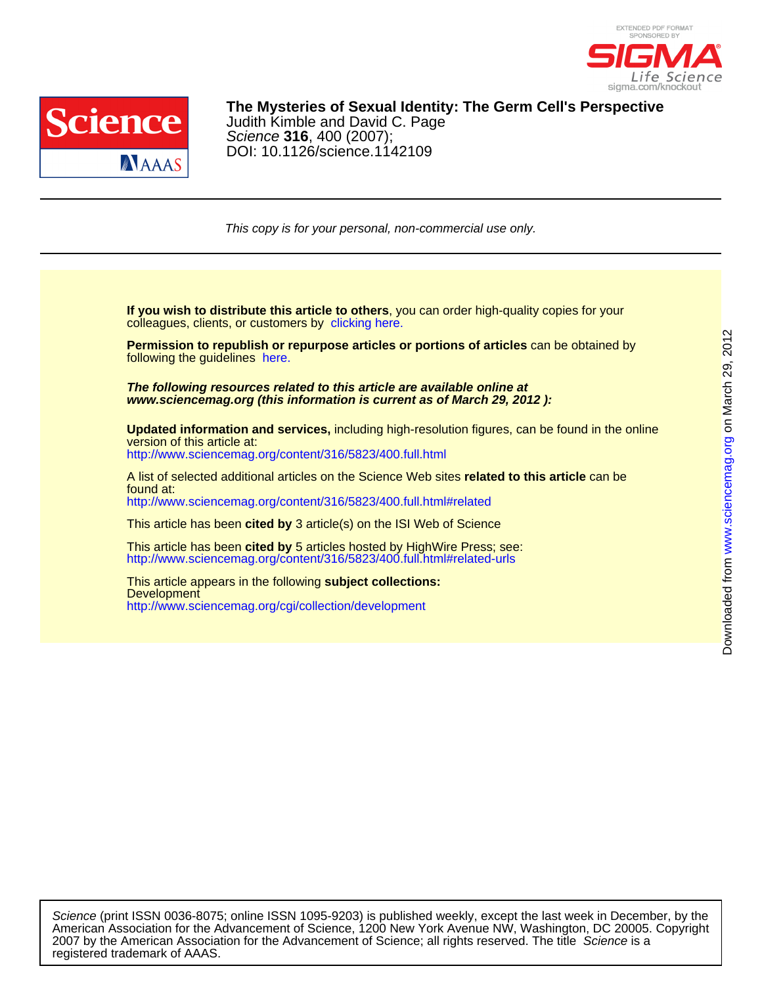



DOI: 10.1126/science.1142109 Science **316**, 400 (2007); Judith Kimble and David C. Page **The Mysteries of Sexual Identity: The Germ Cell's Perspective**

This copy is for your personal, non-commercial use only.

colleagues, clients, or customers by [clicking here.](http://www.sciencemag.org/about/permissions.dtl) **If you wish to distribute this article to others**, you can order high-quality copies for your

following the guidelines [here.](http://www.sciencemag.org/about/permissions.dtl) **Permission to republish or repurpose articles or portions of articles** can be obtained by

**www.sciencemag.org (this information is current as of March 29, 2012 ): The following resources related to this article are available online at**

<http://www.sciencemag.org/content/316/5823/400.full.html> version of this article at: **Updated information and services,** including high-resolution figures, can be found in the online

<http://www.sciencemag.org/content/316/5823/400.full.html#related> found at: A list of selected additional articles on the Science Web sites **related to this article** can be

This article has been **cited by** 3 article(s) on the ISI Web of Science

<http://www.sciencemag.org/content/316/5823/400.full.html#related-urls> This article has been **cited by** 5 articles hosted by HighWire Press; see:

<http://www.sciencemag.org/cgi/collection/development> **Development** This article appears in the following **subject collections:**

registered trademark of AAAS. 2007 by the American Association for the Advancement of Science; all rights reserved. The title Science is a American Association for the Advancement of Science, 1200 New York Avenue NW, Washington, DC 20005. Copyright Science (print ISSN 0036-8075; online ISSN 1095-9203) is published weekly, except the last week in December, by the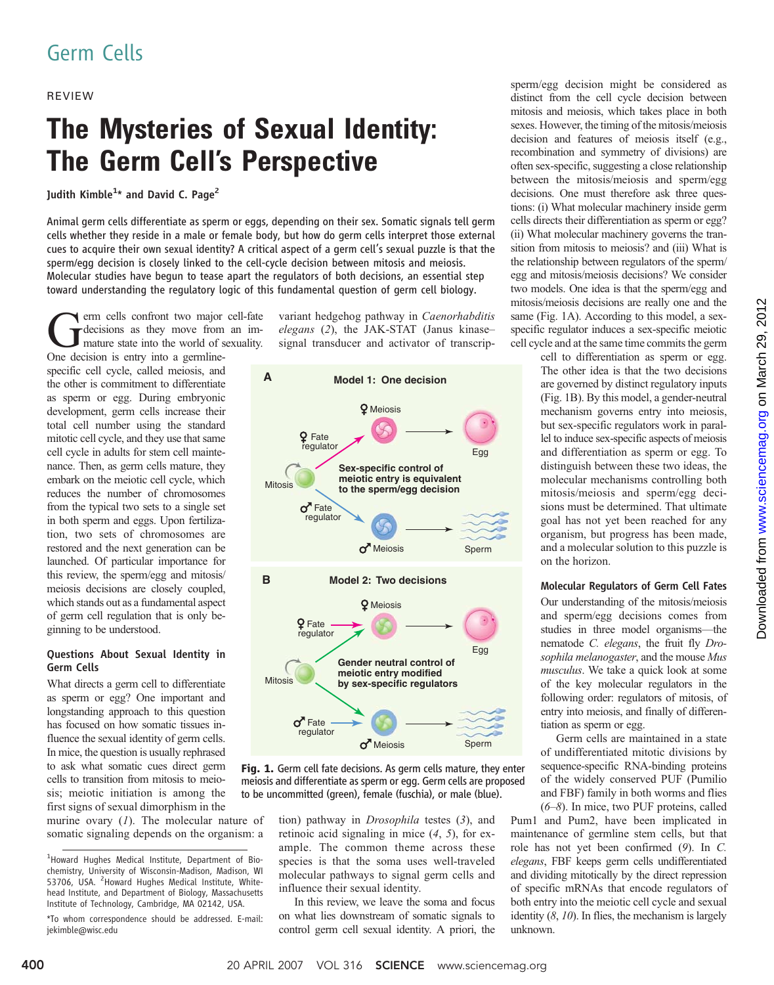# Germ Cells

### REVIEW

# The Mysteries of Sexual Identity: The Germ Cell*'*s Perspective

Judith Kimble $^{1\star}$  and David C. Page $^2$ 

Animal germ cells differentiate as sperm or eggs, depending on their sex. Somatic signals tell germ cells whether they reside in a male or female body, but how do germ cells interpret those external cues to acquire their own sexual identity? A critical aspect of a germ cell*'*s sexual puzzle is that the sperm/egg decision is closely linked to the cell-cycle decision between mitosis and meiosis. Molecular studies have begun to tease apart the regulators of both decisions, an essential step toward understanding the regulatory logic of this fundamental question of germ cell biology.

erm cells confront two major cell-fate decisions as they move from an immature state into the world of sexuality. One decision is entry into a germline-

specific cell cycle, called meiosis, and the other is commitment to differentiate as sperm or egg. During embryonic development, germ cells increase their total cell number using the standard mitotic cell cycle, and they use that same cell cycle in adults for stem cell maintenance. Then, as germ cells mature, they embark on the meiotic cell cycle, which reduces the number of chromosomes from the typical two sets to a single set in both sperm and eggs. Upon fertilization, two sets of chromosomes are restored and the next generation can be launched. Of particular importance for this review, the sperm/egg and mitosis/ meiosis decisions are closely coupled, which stands out as a fundamental aspect of germ cell regulation that is only beginning to be understood.

### Questions About Sexual Identity in Germ Cells

What directs a germ cell to differentiate as sperm or egg? One important and longstanding approach to this question has focused on how somatic tissues influence the sexual identity of germ cells. In mice, the question is usually rephrased to ask what somatic cues direct germ cells to transition from mitosis to meiosis; meiotic initiation is among the first signs of sexual dimorphism in the

murine ovary  $(1)$ . The molecular nature of somatic signaling depends on the organism: a

variant hedgehog pathway in Caenorhabditis elegans (2), the JAK-STAT (Janus kinase– signal transducer and activator of transcrip-



Fig. 1. Germ cell fate decisions. As germ cells mature, they enter meiosis and differentiate as sperm or egg. Germ cells are proposed to be uncommitted (green), female (fuschia), or male (blue).

tion) pathway in Drosophila testes (3), and retinoic acid signaling in mice (4, 5), for example. The common theme across these species is that the soma uses well-traveled molecular pathways to signal germ cells and influence their sexual identity.

In this review, we leave the soma and focus on what lies downstream of somatic signals to control germ cell sexual identity. A priori, the sperm/egg decision might be considered as distinct from the cell cycle decision between mitosis and meiosis, which takes place in both sexes. However, the timing of the mitosis/meiosis decision and features of meiosis itself (e.g., recombination and symmetry of divisions) are often sex-specific, suggesting a close relationship between the mitosis/meiosis and sperm/egg decisions. One must therefore ask three questions: (i) What molecular machinery inside germ cells directs their differentiation as sperm or egg? (ii) What molecular machinery governs the transition from mitosis to meiosis? and (iii) What is the relationship between regulators of the sperm/ egg and mitosis/meiosis decisions? We consider two models. One idea is that the sperm/egg and mitosis/meiosis decisions are really one and the same (Fig. 1A). According to this model, a sexspecific regulator induces a sex-specific meiotic cell cycle and at the same time commits the germ

> cell to differentiation as sperm or egg. The other idea is that the two decisions are governed by distinct regulatory inputs (Fig. 1B). By this model, a gender-neutral mechanism governs entry into meiosis, but sex-specific regulators work in parallel to induce sex-specific aspects of meiosis and differentiation as sperm or egg. To distinguish between these two ideas, the molecular mechanisms controlling both mitosis/meiosis and sperm/egg decisions must be determined. That ultimate goal has not yet been reached for any organism, but progress has been made, and a molecular solution to this puzzle is on the horizon.

## Molecular Regulators of Germ Cell Fates

Our understanding of the mitosis/meiosis and sperm/egg decisions comes from studies in three model organisms—the nematode C. elegans, the fruit fly Drosophila melanogaster, and the mouse Mus musculus. We take a quick look at some of the key molecular regulators in the following order: regulators of mitosis, of entry into meiosis, and finally of differentiation as sperm or egg.

Germ cells are maintained in a state of undifferentiated mitotic divisions by sequence-specific RNA-binding proteins of the widely conserved PUF (Pumilio and FBF) family in both worms and flies (6–8). In mice, two PUF proteins, called

Pum1 and Pum2, have been implicated in maintenance of germline stem cells, but that role has not yet been confirmed (9). In C. elegans, FBF keeps germ cells undifferentiated and dividing mitotically by the direct repression of specific mRNAs that encode regulators of both entry into the meiotic cell cycle and sexual identity  $(8, 10)$ . In flies, the mechanism is largely unknown.

<sup>&</sup>lt;sup>1</sup>Howard Hughes Medical Institute, Department of Biochemistry, University of Wisconsin-Madison, Madison, WI 53706, USA. <sup>2</sup> Howard Hughes Medical Institute, Whitehead Institute, and Department of Biology, Massachusetts Institute of Technology, Cambridge, MA 02142, USA.

<sup>\*</sup>To whom correspondence should be addressed. E-mail: jekimble@wisc.edu